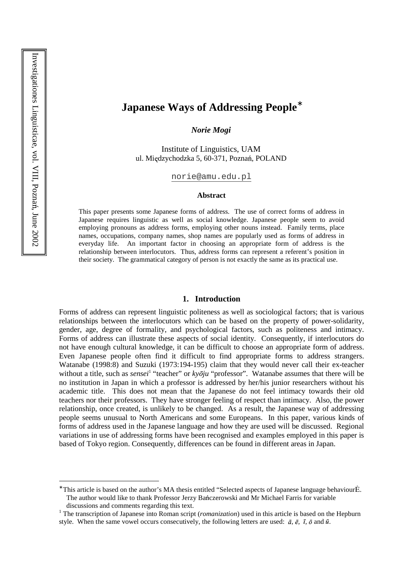# **Japanese Ways of Addressing People**<sup>∗</sup>

*Norie Mogi* 

Institute of Linguistics, UAM ul. Międzychodzka 5, 60-371, Poznań, POLAND

norie@amu.edu.pl

#### **Abstract**

This paper presents some Japanese forms of address. The use of correct forms of address in Japanese requires linguistic as well as social knowledge. Japanese people seem to avoid employing pronouns as address forms, employing other nouns instead. Family terms, place names, occupations, company names, shop names are popularly used as forms of address in everyday life. An important factor in choosing an appropriate form of address is the relationship between interlocutors. Thus, address forms can represent a referent's position in their society. The grammatical category of person is not exactly the same as its practical use.

#### **1. Introduction**

Forms of address can represent linguistic politeness as well as sociological factors; that is various relationships between the interlocutors which can be based on the property of power-solidarity, gender, age, degree of formality, and psychological factors, such as politeness and intimacy. Forms of address can illustrate these aspects of social identity. Consequently, if interlocutors do not have enough cultural knowledge, it can be difficult to choose an appropriate form of address. Even Japanese people often find it difficult to find appropriate forms to address strangers. Watanabe (1998:8) and Suzuki (1973:194-195) claim that they would never call their ex-teacher without a title, such as *sensei*<sup>1</sup> "teacher" or *kyōju* "professor". Watanabe assumes that there will be no institution in Japan in which a professor is addressed by her/his junior researchers without his academic title. This does not mean that the Japanese do not feel intimacy towards their old teachers nor their professors. They have stronger feeling of respect than intimacy. Also, the power relationship, once created, is unlikely to be changed. As a result, the Japanese way of addressing people seems unusual to North Americans and some Europeans. In this paper, various kinds of forms of address used in the Japanese language and how they are used will be discussed. Regional variations in use of addressing forms have been recognised and examples employed in this paper is based of Tokyo region. Consequently, differences can be found in different areas in Japan.

<sup>\*</sup> This article is based on the author's MA thesis entitled "Selected aspects of Japanese language behaviour $\dot{E}$ . The author would like to thank Professor Jerzy Bańczerowski and Mr Michael Farris for variable discussions and comments regarding this text.

<sup>&</sup>lt;sup>1</sup> The transcription of Japanese into Roman script (*romanization*) used in this article is based on the Hepburn style. When the same vowel occurs consecutively, the following letters are used:  $\bar{a}$ ,  $\bar{e}$ ,  $\bar{i}$ ,  $\bar{o}$  and  $\bar{u}$ .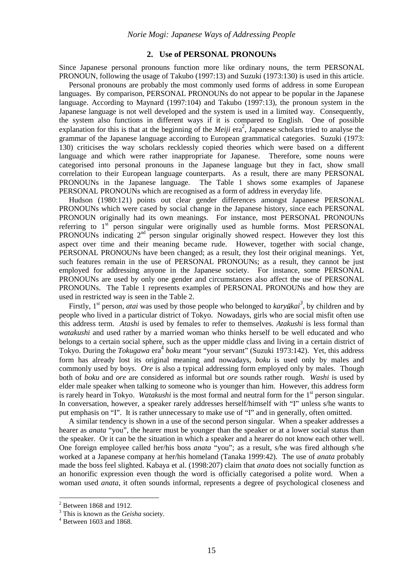#### **2. Use of PERSONAL PRONOUNs**

Since Japanese personal pronouns function more like ordinary nouns, the term PERSONAL PRONOUN, following the usage of Takubo (1997:13) and Suzuki (1973:130) is used in this article.

Personal pronouns are probably the most commonly used forms of address in some European languages. By comparison, PERSONAL PRONOUNs do not appear to be popular in the Japanese language. According to Maynard (1997:104) and Takubo (1997:13), the pronoun system in the Japanese language is not well developed and the system is used in a limited way. Consequently, the system also functions in different ways if it is compared to English. One of possible explanation for this is that at the beginning of the *Meiji* era<sup>2</sup>, Japanese scholars tried to analyse the grammar of the Japanese language according to European grammatical categories. Suzuki (1973: 130) criticises the way scholars recklessly copied theories which were based on a different language and which were rather inappropriate for Japanese. Therefore, some nouns were categorised into personal pronouns in the Japanese language but they in fact, show small correlation to their European language counterparts. As a result, there are many PERSONAL PRONOUNs in the Japanese language. The Table 1 shows some examples of Japanese PERSONAL PRONOUNs which are recognised as a form of address in everyday life.

Hudson (1980:121) points out clear gender differences amongst Japanese PERSONAL PRONOUNs which were cased by social change in the Japanese history, since each PERSONAL PRONOUN originally had its own meanings. For instance, most PERSONAL PRONOUNs referring to 1<sup>st</sup> person singular were originally used as humble forms. Most PERSONAL PRONOUNs indicating  $2<sup>nd</sup>$  person singular originally showed respect. However they lost this aspect over time and their meaning became rude. However, together with social change, PERSONAL PRONOUNs have been changed; as a result, they lost their original meanings. Yet, such features remain in the use of PERSONAL PRONOUNs; as a result, they cannot be just employed for addressing anyone in the Japanese society. For instance, some PERSONAL PRONOUNs are used by only one gender and circumstances also affect the use of PERSONAL PRONOUNs. The Table 1 represents examples of PERSONAL PRONOUNs and how they are used in restricted way is seen in the Table 2.

Firstly,  $1^{st}$  person, *atai* was used by those people who belonged to *karyūkai*<sup>3</sup>, by children and by people who lived in a particular district of Tokyo. Nowadays, girls who are social misfit often use this address term. *Atashi* is used by females to refer to themselves. *Atakushi* is less formal than *watakushi* and used rather by a married woman who thinks herself to be well educated and who belongs to a certain social sphere, such as the upper middle class and living in a certain district of Tokyo. During the *Tokugawa* era 4 *boku* meant "your servant" (Suzuki 1973:142). Yet, this address form has already lost its original meaning and nowadays, *boku* is used only by males and commonly used by boys. *Ore* is also a typical addressing form employed only by males. Though both of *boku* and *ore* are considered as informal but *ore* sounds rather rough. *Washi* is used by elder male speaker when talking to someone who is younger than him. However, this address form is rarely heard in Tokyo. *Watakushi* is the most formal and neutral form for the 1<sup>st</sup> person singular. In conversation, however, a speaker rarely addresses herself/himself with "I" unless s/he wants to put emphasis on "I". It is rather unnecessary to make use of "I" and in generally, often omitted.

A similar tendency is shown in a use of the second person singular. When a speaker addresses a hearer as *anata* "you", the hearer must be younger than the speaker or at a lower social status than the speaker. Or it can be the situation in which a speaker and a hearer do not know each other well. One foreign employee called her/his boss *anata* "you"; as a result, s/he was fired although s/he worked at a Japanese company at her/his homeland (Tanaka 1999:42). The use of *anata* probably made the boss feel slighted. Kabaya et al. (1998:207) claim that *anata* does not socially function as an honorific expression even though the word is officially categorised a polite word. When a woman used *anata*, it often sounds informal, represents a degree of psychological closeness and

<sup>&</sup>lt;sup>2</sup> Between 1868 and 1912.

<sup>3</sup> This is known as the *Geisha* society.

<sup>4</sup> Between 1603 and 1868.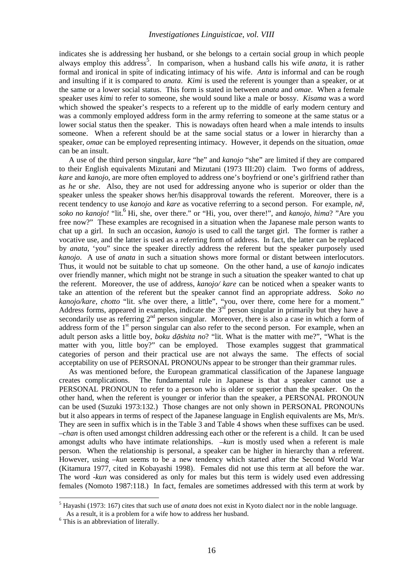indicates she is addressing her husband, or she belongs to a certain social group in which people always employ this address<sup>5</sup>. In comparison, when a husband calls his wife *anata*, it is rather formal and ironical in spite of indicating intimacy of his wife. *Anta* is informal and can be rough and insulting if it is compared to *anata*. *Kimi* is used the referent is younger than a speaker, or at the same or a lower social status. This form is stated in between *anata* and *omae*. When a female speaker uses *kimi* to refer to someone, she would sound like a male or bossy. *Kisama* was a word which showed the speaker's respects to a referent up to the middle of early modern century and was a commonly employed address form in the army referring to someone at the same status or a lower social status then the speaker. This is nowadays often heard when a male intends to insults someone. When a referent should be at the same social status or a lower in hierarchy than a speaker, *omae* can be employed representing intimacy. However, it depends on the situation, *omae* can be an insult.

A use of the third person singular, *kare* "he" and *kanojo* "she" are limited if they are compared to their English equivalents Mizutani and Mizutani (1973 III:20) claim. Two forms of address, *kare* and *kanojo*, are more often employed to address one's boyfriend or one's girlfriend rather than as *he* or *she*. Also, they are not used for addressing anyone who is superior or older than the speaker unless the speaker shows her/his disapproval towards the referent. Moreover, there is a recent tendency to use *kanojo* and *kare* as vocative referring to a second person. For example,  $n\bar{e}$ , soko no kanojo! "lit.<sup>6</sup> Hi, she, over there." or "Hi, you, over there!", and *kanojo, hima?* "Are you free now?" These examples are recognised in a situation when the Japanese male person wants to chat up a girl. In such an occasion, *kanojo* is used to call the target girl. The former is rather a vocative use, and the latter is used as a referring form of address. In fact, the latter can be replaced by *anata*, 'you" since the speaker directly address the referent but the speaker purposely used *kanojo*. A use of *anata* in such a situation shows more formal or distant between interlocutors. Thus, it would not be suitable to chat up someone. On the other hand, a use of *kanojo* indicates over friendly manner, which might not be strange in such a situation the speaker wanted to chat up the referent. Moreover, the use of address, *kanojo/ kare* can be noticed when a speaker wants to take an attention of the referent but the speaker cannot find an appropriate address. *Soko no kanojo/kare, chotto* "lit. s/he over there, a little", "you, over there, come here for a moment." Address forms, appeared in examples, indicate the  $3<sup>rd</sup>$  person singular in primarily but they have a secondarily use as referring  $2<sup>nd</sup>$  person singular. Moreover, there is also a case in which a form of address form of the  $1<sup>st</sup>$  person singular can also refer to the second person. For example, when an adult person asks a little boy, *boku dōshita no*? "lit. What is the matter with me?", "What is the matter with you, little boy?" can be employed. Those examples suggest that grammatical categories of person and their practical use are not always the same. The effects of social acceptability on use of PERSONAL PRONOUNs appear to be stronger than their grammar rules.

As was mentioned before, the European grammatical classification of the Japanese language creates complications. The fundamental rule in Japanese is that a speaker cannot use a PERSONAL PRONOUN to refer to a person who is older or superior than the speaker. On the other hand, when the referent is younger or inferior than the speaker, a PERSONAL PRONOUN can be used (Suzuki 1973:132.) Those changes are not only shown in PERSONAL PRONOUNs but it also appears in terms of respect of the Japanese language in English equivalents are Ms, Mr/s. They are seen in suffix which is in the Table 3 and Table 4 shows when these suffixes can be used. *–chan* is often used amongst children addressing each other or the referent is a child. It can be used amongst adults who have intimate relationships. *–kun* is mostly used when a referent is male person. When the relationship is personal, a speaker can be higher in hierarchy than a referent. However, using *–kun* seems to be a new tendency which started after the Second World War (Kitamura 1977, cited in Kobayashi 1998). Females did not use this term at all before the war. The word *-kun* was considered as only for males but this term is widely used even addressing females (Nomoto 1987:118.) In fact, females are sometimes addressed with this term at work by

<sup>&</sup>lt;sup>5</sup> Hayashi (1973: 167) cites that such use of *anata* does not exist in Kyoto dialect nor in the noble language. As a result, it is a problem for a wife how to address her husband.

<sup>6</sup> This is an abbreviation of literally.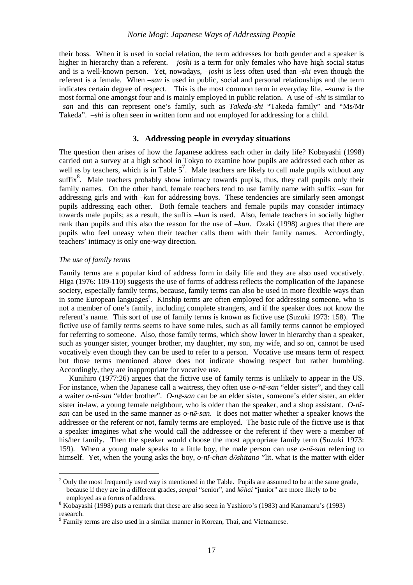# *Norie Mogi: Japanese Ways of Addressing People*

their boss. When it is used in social relation, the term addresses for both gender and a speaker is higher in hierarchy than a referent. *–joshi* is a term for only females who have high social status and is a well-known person. Yet, nowadays, *–joshi* is less often used than *-shi* even though the referent is a female. When *–san* is used in public, social and personal relationships and the term indicates certain degree of respect. This is the most common term in everyday life. *–sama* is the most formal one amongst four and is mainly employed in public relation. A use of *-shi* is similar to *–san* and this can represent one's family, such as *Takeda-shi* "Takeda family" and "Ms/Mr Takeda". *–shi* is often seen in written form and not employed for addressing for a child.

### **3. Addressing people in everyday situations**

The question then arises of how the Japanese address each other in daily life? Kobayashi (1998) carried out a survey at a high school in Tokyo to examine how pupils are addressed each other as well as by teachers, which is in Table  $5^7$ . Male teachers are likely to call male pupils without any suffix<sup>8</sup>. Male teachers probably show intimacy towards pupils, thus, they call pupils only their family names. On the other hand, female teachers tend to use family name with suffix *–san* for addressing girls and with *–kun* for addressing boys. These tendencies are similarly seen amongst pupils addressing each other. Both female teachers and female pupils may consider intimacy towards male pupils; as a result, the suffix *–kun* is used. Also, female teachers in socially higher rank than pupils and this also the reason for the use of *–kun*. Ozaki (1998) argues that there are pupils who feel uneasy when their teacher calls them with their family names. Accordingly, teachers' intimacy is only one-way direction.

#### *The use of family terms*

 $\overline{a}$ 

Family terms are a popular kind of address form in daily life and they are also used vocatively. Higa (1976: 109-110) suggests the use of forms of address reflects the complication of the Japanese society, especially family terms, because, family terms can also be used in more flexible ways than in some European languages<sup>9</sup>. Kinship terms are often employed for addressing someone, who is not a member of one's family, including complete strangers, and if the speaker does not know the referent's name. This sort of use of family terms is known as fictive use (Suzuki 1973: 158). The fictive use of family terms seems to have some rules, such as all family terms cannot be employed for referring to someone. Also, those family terms, which show lower in hierarchy than a speaker, such as younger sister, younger brother, my daughter, my son, my wife, and so on, cannot be used vocatively even though they can be used to refer to a person. Vocative use means term of respect but those terms mentioned above does not indicate showing respect but rather humbling. Accordingly, they are inappropriate for vocative use.

Kunihiro (1977:26) argues that the fictive use of family terms is unlikely to appear in the US. For instance, when the Japanese call a waitress, they often use *o-n-san* "elder sister", and they call a waiter *o-n -san* "elder brother". *O-n-san* can be an elder sister, someone's elder sister, an elder sister in-law, a young female neighbour, who is older than the speaker, and a shop assistant. *O-n san* can be used in the same manner as *o-n-san*. It does not matter whether a speaker knows the addressee or the referent or not, family terms are employed. The basic rule of the fictive use is that a speaker imagines what s/he would call the addressee or the referent if they were a member of his/her family. Then the speaker would choose the most appropriate family term (Suzuki 1973: 159). When a young male speaks to a little boy, the male person can use  $o$ -nī-san referring to himself. Yet, when the young asks the boy, *o-nī-chan dōshitano* "lit. what is the matter with elder

 $<sup>7</sup>$  Only the most frequently used way is mentioned in the Table. Pupils are assumed to be at the same grade,</sup> because if they are in a different grades, *senpai* "senior", and *k hai* "junior" are more likely to be employed as a forms of address.

 $8$  Kobayashi (1998) puts a remark that these are also seen in Yashioro's (1983) and Kanamaru's (1993) research.

<sup>&</sup>lt;sup>9</sup> Family terms are also used in a similar manner in Korean, Thai, and Vietnamese.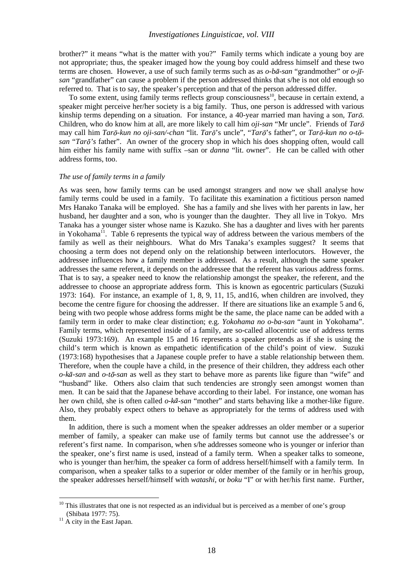### *Investigationes Linguisticae, vol. VIII*

brother?" it means "what is the matter with you?" Family terms which indicate a young boy are not appropriate; thus, the speaker imaged how the young boy could address himself and these two terms are chosen. However, a use of such family terms such as as  $o$ - $b\bar{a}$ -san "grandmother" or  $o$ -jī*san* "grandfather" can cause a problem if the person addressed thinks that s/he is not old enough so referred to. That is to say, the speaker's perception and that of the person addressed differ.

To some extent, using family terms reflects group consciousness<sup>10</sup>, because in certain extend, a speaker might perceive her/her society is a big family. Thus, one person is addressed with various kinship terms depending on a situation. For instance, a 40-year married man having a son, *Tarō*. Children, who do know him at all, are more likely to call him *oji-san* "Mr uncle". Friends of *Tar* may call him *Tarō-kun no oji-san/-chan* "lit. *Tarō*'s uncle", "*Tarō*'s father", or *Tarō-kun no o-tō*san "*Tarō*'s father". An owner of the grocery shop in which his does shopping often, would call him either his family name with suffix –san or *danna* "lit. owner". He can be called with other address forms, too.

#### *The use of family terms in a family*

As was seen, how family terms can be used amongst strangers and now we shall analyse how family terms could be used in a family. To facilitate this examination a fictitious person named Mrs Hanako Tanaka will be employed. She has a family and she lives with her parents in law, her husband, her daughter and a son, who is younger than the daughter. They all live in Tokyo. Mrs Tanaka has a younger sister whose name is Kazuko. She has a daughter and lives with her parents in Yokohama<sup>11</sup>. Table 6 represents the typical way of address between the various members of the family as well as their neighbours. What do Mrs Tanaka's examples suggest? It seems that choosing a term does not depend only on the relationship between interlocutors. However, the addressee influences how a family member is addressed. As a result, although the same speaker addresses the same referent, it depends on the addressee that the referent has various address forms. That is to say, a speaker need to know the relationship amongst the speaker, the referent, and the addressee to choose an appropriate address form. This is known as egocentric particulars (Suzuki 1973: 164). For instance, an example of 1, 8, 9, 11, 15, and16, when children are involved, they become the centre figure for choosing the addresser. If there are situations like an example 5 and 6, being with two people whose address forms might be the same, the place name can be added with a family term in order to make clear distinction; e.g. *Yokohama no o-ba-san* "aunt in Yokohama". Family terms, which represented inside of a family, are so-called allocentric use of address terms (Suzuki 1973:169). An example 15 and 16 represents a speaker pretends as if she is using the child's term which is known as empathetic identification of the child's point of view. Suzuki (1973:168) hypothesises that a Japanese couple prefer to have a stable relationship between them. Therefore, when the couple have a child, in the presence of their children, they address each other *o-kā-san* and *o-tō-san* as well as they start to behave more as parents like figure than "wife" and "husband" like. Others also claim that such tendencies are strongly seen amongst women than men. It can be said that the Japanese behave according to their label. For instance, one woman has her own child, she is often called *o-kā-san* "mother" and starts behaving like a mother-like figure. Also, they probably expect others to behave as appropriately for the terms of address used with them.

In addition, there is such a moment when the speaker addresses an older member or a superior member of family, a speaker can make use of family terms but cannot use the addressee's or referent's first name. In comparison, when s/he addresses someone who is younger or inferior than the speaker, one's first name is used, instead of a family term. When a speaker talks to someone, who is younger than her/him, the speaker ca form of address herself/himself with a family term. In comparison, when a speaker talks to a superior or older member of the family or in her/his group, the speaker addresses herself/himself with *watashi*, or *boku* "I" or with her/his first name. Further,

 $10$  This illustrates that one is not respected as an individual but is perceived as a member of one's group (Shibata 1977: 75).

 $11$  A city in the East Japan.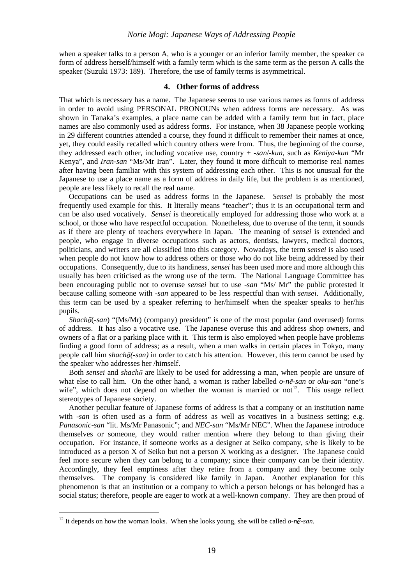when a speaker talks to a person A, who is a younger or an inferior family member, the speaker ca form of address herself/himself with a family term which is the same term as the person A calls the speaker (Suzuki 1973: 189). Therefore, the use of family terms is asymmetrical.

### **4. Other forms of address**

That which is necessary has a name. The Japanese seems to use various names as forms of address in order to avoid using PERSONAL PRONOUNs when address forms are necessary. As was shown in Tanaka's examples, a place name can be added with a family term but in fact, place names are also commonly used as address forms. For instance, when 38 Japanese people working in 29 different countries attended a course, they found it difficult to remember their names at once, yet, they could easily recalled which country others were from. Thus, the beginning of the course, they addressed each other, including vocative use, country + *-san*/*-kun*, such as *Keniya-kun* "Mr Kenya", and *Iran-san* "Ms/Mr Iran". Later, they found it more difficult to memorise real names after having been familiar with this system of addressing each other. This is not unusual for the Japanese to use a place name as a form of address in daily life, but the problem is as mentioned, people are less likely to recall the real name.

Occupations can be used as address forms in the Japanese. *Sensei* is probably the most frequently used example for this. It literally means "teacher"; thus it is an occupational term and can be also used vocatively. *Sensei* is theoretically employed for addressing those who work at a school, or those who have respectful occupation. Nonetheless, due to overuse of the term, it sounds as if there are plenty of teachers everywhere in Japan. The meaning of *sensei* is extended and people, who engage in diverse occupations such as actors, dentists, lawyers, medical doctors, politicians, and writers are all classified into this category. Nowadays, the term *sensei* is also used when people do not know how to address others or those who do not like being addressed by their occupations. Consequently, due to its handiness, *sensei* has been used more and more although this usually has been criticised as the wrong use of the term. The National Language Committee has been encouraging public not to overuse *sensei* but to use *-san* "Ms/ Mr" the public protested it because calling someone with *-san* appeared to be less respectful than with *sensei*. Additionally, this term can be used by a speaker referring to her/himself when the speaker speaks to her/his pupils.

*Shach*  $\delta$ (*-san*) "(Ms/Mr) (company) president" is one of the most popular (and overused) forms of address. It has also a vocative use. The Japanese overuse this and address shop owners, and owners of a flat or a parking place with it. This term is also employed when people have problems finding a good form of address; as a result, when a man walks in certain places in Tokyo, many people call him *shach (-san)* in order to catch his attention. However, this term cannot be used by the speaker who addresses her /himself.

Both *sensei* and *shacho* are likely to be used for addressing a man, when people are unsure of what else to call him. On the other hand, a woman is rather labelled *o-n-san* or *oku-san* "one's wife", which does not depend on whether the woman is married or not<sup>12</sup>. This usage reflect stereotypes of Japanese society.

Another peculiar feature of Japanese forms of address is that a company or an institution name with *-san* is often used as a form of address as well as vocatives in a business setting; e.g. *Panasonic-san* "lit. Ms/Mr Panasonic"; and *NEC-san* "Ms/Mr NEC". When the Japanese introduce themselves or someone, they would rather mention where they belong to than giving their occupation. For instance, if someone works as a designer at Seiko company, s/he is likely to be introduced as a person X of Seiko but not a person X working as a designer. The Japanese could feel more secure when they can belong to a company; since their company can be their identity. Accordingly, they feel emptiness after they retire from a company and they become only themselves. The company is considered like family in Japan. Another explanation for this phenomenon is that an institution or a company to which a person belongs or has belonged has a social status; therefore, people are eager to work at a well-known company. They are then proud of

<sup>&</sup>lt;sup>12</sup> It depends on how the woman looks. When she looks young, she will be called  $o$ -n $\bar{e}$ -san.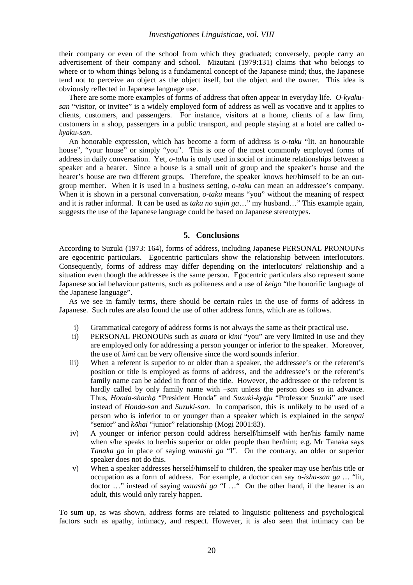their company or even of the school from which they graduated; conversely, people carry an advertisement of their company and school. Mizutani (1979:131) claims that who belongs to where or to whom things belong is a fundamental concept of the Japanese mind; thus, the Japanese tend not to perceive an object as the object itself, but the object and the owner. This idea is obviously reflected in Japanese language use.

There are some more examples of forms of address that often appear in everyday life. *O-kyakusan* "visitor, or invitee" is a widely employed form of address as well as vocative and it applies to clients, customers, and passengers. For instance, visitors at a home, clients of a law firm, customers in a shop, passengers in a public transport, and people staying at a hotel are called *okyaku-san*.

An honorable expression, which has become a form of address is *o-taku* "lit*.* an honourable house", "your house" or simply "you". This is one of the most commonly employed forms of address in daily conversation. Yet, *o-taku* is only used in social or intimate relationships between a speaker and a hearer. Since a house is a small unit of group and the speaker's house and the hearer's house are two different groups. Therefore, the speaker knows her/himself to be an outgroup member. When it is used in a business setting, *o-taku* can mean an addressee's company. When it is shown in a personal conversation, *o-taku* means "you" without the meaning of respect and it is rather informal. It can be used as *taku no sujin ga*…" my husband…" This example again, suggests the use of the Japanese language could be based on Japanese stereotypes.

## **5. Conclusions**

According to Suzuki (1973: 164), forms of address, including Japanese PERSONAL PRONOUNs are egocentric particulars. Egocentric particulars show the relationship between interlocutors. Consequently, forms of address may differ depending on the interlocutors' relationship and a situation even though the addressee is the same person. Egocentric particulars also represent some Japanese social behaviour patterns, such as politeness and a use of *keigo* "the honorific language of the Japanese language".

As we see in family terms, there should be certain rules in the use of forms of address in Japanese. Such rules are also found the use of other address forms, which are as follows.

- i) Grammatical category of address forms is not always the same as their practical use.
- ii) PERSONAL PRONOUNs such as *anata* or *kimi* "you" are very limited in use and they are employed only for addressing a person younger or inferior to the speaker. Moreover, the use of *kimi* can be very offensive since the word sounds inferior.
- iii) When a referent is superior to or older than a speaker, the addressee's or the referent's position or title is employed as forms of address, and the addressee's or the referent's family name can be added in front of the title. However, the addressee or the referent is hardly called by only family name with *–san* unless the person does so in advance. Thus, *Honda-shachō* "President Honda" and *Suzuki-kyōju* "Professor Suzuki" are used instead of *Honda-san* and *Suzuki-san*. In comparison, this is unlikely to be used of a person who is inferior to or younger than a speaker which is explained in the *senpai* "senior" and *kohai* "junior" relationship (Mogi 2001:83).
- iv) A younger or inferior person could address herself/himself with her/his family name when s/he speaks to her/his superior or older people than her/him; e.g. Mr Tanaka says *Tanaka ga* in place of saying *watashi ga* "I". On the contrary, an older or superior speaker does not do this.
- v) When a speaker addresses herself/himself to children, the speaker may use her/his title or occupation as a form of address. For example, a doctor can say *o-isha-san ga …* "lit, doctor …" instead of saying *watashi ga* "I …" On the other hand, if the hearer is an adult, this would only rarely happen.

To sum up, as was shown, address forms are related to linguistic politeness and psychological factors such as apathy, intimacy, and respect. However, it is also seen that intimacy can be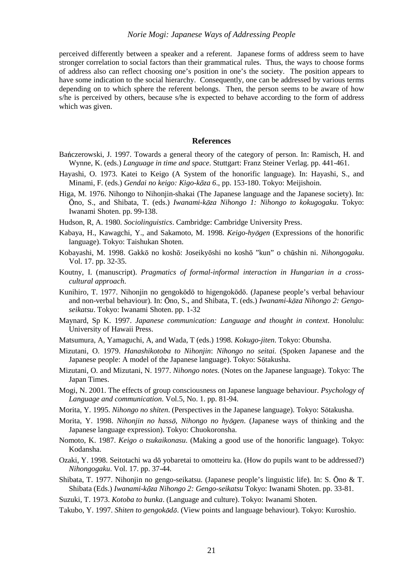### *Norie Mogi: Japanese Ways of Addressing People*

perceived differently between a speaker and a referent. Japanese forms of address seem to have stronger correlation to social factors than their grammatical rules. Thus, the ways to choose forms of address also can reflect choosing one's position in one's the society. The position appears to have some indication to the social hierarchy. Consequently, one can be addressed by various terms depending on to which sphere the referent belongs. Then, the person seems to be aware of how s/he is perceived by others, because s/he is expected to behave according to the form of address which was given.

### **References**

- Bańczerowski, J. 1997. Towards a general theory of the category of person. In: Ramisch, H. and Wynne, K. (eds.) *Language in time and space*. Stuttgart: Franz Steiner Verlag. pp. 441-461.
- Hayashi, O. 1973. Katei to Keigo (A System of the honorific language). In: Hayashi, S., and Minami, F. (eds.) *Gendai no keigo: Kigo-k za 6*., pp. 153-180. Tokyo: Meijishoin.
- Higa, M. 1976. Nihongo to Nihonjin-shakai (The Japanese language and the Japanese society). In: no, S., and Shibata, T. (eds.) *Iwanami-k za Nihongo 1: Nihongo to kokugogaku*. Tokyo: Iwanami Shoten. pp. 99-138.
- Hudson, R, A. 1980. *Sociolinguistics*. Cambridge: Cambridge University Press.
- Kabaya, H., Kawagchi, Y., and Sakamoto, M. 1998. *Keigo-hyōgen* (Expressions of the honorific language). Tokyo: Taishukan Shoten.
- Kobayashi, M. 1998. Gakkō no koshō: Joseikyōshi no koshō "kun" o chūshin ni. *Nihongogaku*. Vol. 17. pp. 32-35.
- Koutny, I. (manuscript). *Pragmatics of formal-informal interaction in Hungarian in a crosscultural approach*.
- Kunihiro, T. 1977. Nihonjin no gengokodo to higengokodo. (Japanese people's verbal behaviour and non-verbal behaviour). In: Ōno, S., and Shibata, T. (eds.) *Iwanami-kōza Nihongo 2: Gengoseikatsu*. Tokyo: Iwanami Shoten. pp. 1-32
- Maynard, Sp K. 1997. *Japanese communication: Language and thought in context*. Honolulu: University of Hawaii Press.
- Matsumura, A, Yamaguchi, A, and Wada, T (eds.) 1998. *Kokugo-jiten*. Tokyo: Obunsha.
- Mizutani, O. 1979. *Hanashikotoba to Nihonjin*: *Nihongo no seitai.* (Spoken Japanese and the Japanese people: A model of the Japanese language). Tokyo: Sōtakusha.
- Mizutani, O. and Mizutani, N. 1977. *Nihongo notes.* (Notes on the Japanese language). Tokyo: The Japan Times.
- Mogi, N. 2001. The effects of group consciousness on Japanese language behaviour. *Psychology of Language and communication*. Vol.5, No. 1. pp. 81-94.
- Morita, Y. 1995. *Nihongo no shiten*. (Perspectives in the Japanese language). Tokyo: Sōtakusha.
- Morita, Y. 1998. *Nihonjin no hasso*, *Nihongo no hyogen*. (Japanese ways of thinking and the Japanese language expression). Tokyo: Chuokoronsha.
- Nomoto, K. 1987. *Keigo o tsukaikonasu*. (Making a good use of the honorific language). Tokyo: Kodansha.
- Ozaki, Y. 1998. Seitotachi wa dō yobaretai to omotteiru ka. (How do pupils want to be addressed?) *Nihongogaku*. Vol. 17. pp. 37-44.
- Shibata, T. 1977. Nihonjin no gengo-seikatsu. (Japanese people's linguistic life). In: S. Ōno & T. Shibata (Eds.) *Iwanami-k za Nihongo 2: Gengo-seikatsu* Tokyo: Iwanami Shoten. pp. 33-81.
- Suzuki, T. 1973. *Kotoba to bunka*. (Language and culture). Tokyo: Iwanami Shoten.
- Takubo, Y. 1997. *Shiten to gengokōdō*. (View points and language behaviour). Tokyo: Kuroshio.